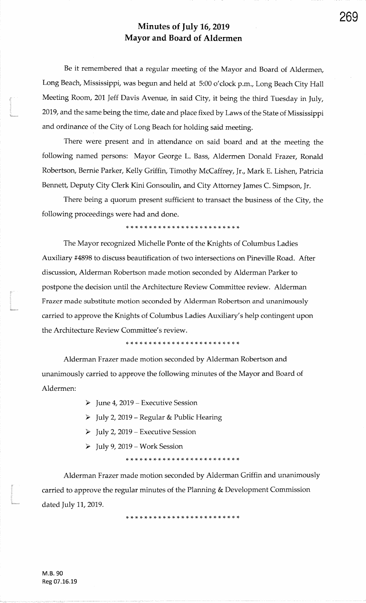Be it remembered that a regular meeting of the Mayor and Board of Aldermen,Long Beach, Mississippi, was begun and held at 5:00 o'clock p.m., Long Beach City Hall Meeting Room, 201 Jeff Davis Avenue, in said City, it being the third Tuesday in July, 2019, and the same being the time, date and place fixed by Laws of the State of Mississippiand ordinance of the City of Long Beach for holding said meeting.

There were present and in attendance on said board and at the meeting thefollowing named persons: Mayor George L. Bass, Aldermen Donald Frazer, RonaldRobertson, Bernie Parker, Kelly Griffin, Timothy McCaffrey, Jr., Mark E. Lishen, Patricia Bennett, Deputy City Clerk Kini Gonsoulin, and City Attorney James C. Simpson, Jr.

There being a quorum present sufficient to transact the business of the City, thefollowing proceedings were had and done.

\* rF rF )F rF \* \* \* \* \* \* \* \* \* \* {. r+ \* rE {. rt \* \* \* \*

The Mayor recognized Michelle Ponte of the Knights of Columbus LadiesAuxiliary #4898 to discuss beautification of two intersections on Pineville Road. Afterdiscussion, Alderman Robertson made motion seconded by Alderman Parker topostpone the decision until the Architecture Review Committee review. AldermanFrazer made substitute motion seconded by Alderman Robertson and unanimouslycarried to approve the Knights of Columbus Ladies Auxiliary's help contingent uponthe Architecture Review Committee's review.

\* \* {. )F rF \* rF rE rF )F !F {- rt r} \* \* rf ,t \* \* )T \* \* {- rl-

Alderman Frazer made motion seconded by Alderman Robertson and<br>
unanimously carried to approve the following minutes of the Mayor and Board of<br>
Aldermen:<br>  $\triangleright$  June 4, 2019 – Executive Session<br>  $\triangleright$  July 2, 2019 – Exe

- 
- 
- 
- 

x. rg )g )T rF rF rc {- rc rt rT \* )t )F ?F ?T rF )F \* \* \* \* \* \* )F

Alderman Frazer made motion seconded by Alderman Griffin and unanimouslycarried to approve the regular minutes of the Planning & Development Commissiondated July 11, 2019.

\* \* )t \* rT rF rt \* \* \* \* \* )t \* \* \* rt \* \* \* \* \* \* {- )F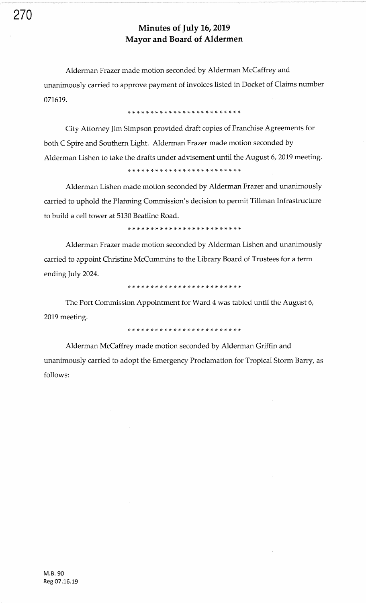Alderman Frazer made motion seconded by Alderman McCaffrey and unanimously carried to approve payment of invoices listed in Docket of Claims number 071619.

!t \* \* rF rF rr \* \* )F \* \* \* rF \* rr \* \* \* \* rF )F )F rt \* \*

City Attorney Jim Simpson provided draft copies of Franchise Agreements for both C Spire and Southern Light. Alderman Frazer made motion seconded by Alderman Lishen to take the drafts under advisement until the August 6, 2019 meeting.

,T rT rt :+ :|. rt !t !t r+ \* rF !F rF )F \* \* \* \* \* rF 16 rF \* rF tl-

Alderman Lishen made motion seconded by Alderman Frazer and unanimously carried to uphold the Planning Commission's decision to permit Tillman Infrastrucfure to build a cell tower at 5130 Beatline Road.

\* \* \* \* \* rF rF rt rT rF rF rr rF rF rt )t \* \* \* \* )F rF :+ rl- rF

Alderman Frazer made motion seconded by Alderman Lishen and unanimously carried to appoint Christine McCummins to the Library Board of Trustees for a term ending July 2024.

)F rF rF rt \* )F rC rF rF rF r! \* :t \* \* \* \* \* \* \* \* )F \* !F rF

The Port Commission Appointment for Ward 4 was tabled until the August 6, 2019 meeting.

,t rg r+ lF )c )a )t )t \* )t rF rc !t r+ r+ tt rF rG rt !t rt !t rF rF rF

Alderman McCaffrey made motion seconded by Alderman Griffin and unanimously carried to adopt the Emergency Proclamation for Tropical Storm Barry, as follows: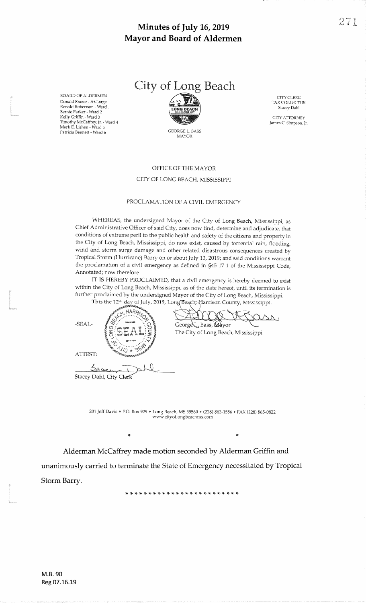BOARD OF ALDERMEN Donald Frazer - At-Large Ronald Robertson - Ward 'l Bernie Parker - Ward 2 Kelly Griffin - Ward <sup>3</sup>Timothy McCaffrey, Jr. - Ward 4<br>Mark E. Lishen - Ward 5 Patricia Bennett - ward 6



GEORGE L, BASSMAYOR

C]TY CLERK TAX COLLECIORStacey Dahl

CITYATTORNEYJames C. Simpson, Jr.

#### OFFICE OF THE MAYOR

#### CITY OF LONG BEACH, MISSISSIPPI

#### PROCLAMATION OF A CIVIL EMERGENCY

WHEREAS, the undersigned Mayor of the City of Long Beach, Mississippi, as Chief Administrative Officer of said City, does now find, determine and adjudicate, that conditions of extreme peril to the public health and safety of the citizens and property inthe City of Long Beach, Mississippi, do now exist, caused by torrential rain, flooding wind and storm surge damage and other related disastrous consequences created by Tropical Storm (Hurricane) Barry on or about July 13, 2019; and said conditions warrant the proclamation of a civil emergency as defined in \$45-17-1 of the Mississippi Code,Annotated; now therefore

 IT IS HEREBY PROCLAIMED, that a civil emergency is hereby deemed to exisr within the City of Long Beach, Mississippi, as of the date hereof, until its termination isfurther proclaimed by the undersigned Mayor of the City of Long Beach, Mississippi

This the  $12^{\text{th}}$  day of July, 2019, Long Beach, Harrison County, Mississippi HARR<sub>IS</sub>  $\lambda$ .SEAL-F  $\mathbb{F}_{G}$   $\cdots$   $\mathbb{F}_{p}$   $\cdots$   $\mathbb{F}_{p}$   $\cdots$   $\cdots$  George L. Bass, Mayor The City of Long Beach, Mississipp ATTEST:Stacey Dahl, City Clerk

,t

201 Jeff Davis . P.O. Box 929 . Long Beach, MS 39560 . (228) 863-1556 . FAX (228) 865-0822 www.cityoflongbeachms.com

\*

Alderman McCaffrey made motion seconded by Alderman Griffin and

unanimously carried to terminate the State of Emergency necessitated by Tropical Storm Barry.

)F \* r+ rt rf ,<sup>F</sup>\* \* \* rF \* \* \* \* \* 16 \* rF rF rF )F rt rF rF rF

ę.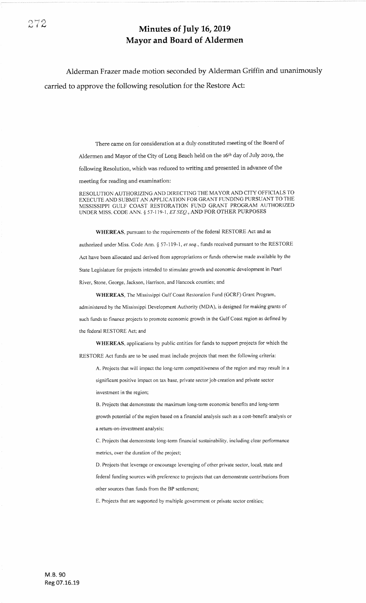Alderman Frazer made motion seconded by Alderman Griffin and unanimously carried to approve the following resolution for the Restore Act:

> There came on for consideration at a duly constituted meeting of the Board of Aldermen and Mayor of the City of Long Beach held on the 16th day of July 2019, the following Resolution, which was reduced to writing and presented in advance of the meeting for reading and examination:

RESOLUTION AUTHORIZING AND DIRECTING THE MAYOR AND CITY OFFICIALS TO EXECUTE AND SUBMIT AN APPLICATION FOR GRANT FUNDING PURSUANT TO THE MISSISSIPPI GULF COAST RESTORATION FUND GRANT PROGRAM AUTHORIZED UNDER MISS. CODE ANN. § 57-119-1,  $ETSEQ$ ., AND FOR OTHER PURPOSES

WHEREAS, pursuant to the requirements of the federal RESTORE Act and as authorized under Miss. Code Ann. § 57-119-1, et seq., funds received pursuant to the RESTORE Act have been allocated and derived from appropriations or funds otherwise made available by the State Legislature for projects intended to stimulate growth and economic development in Pearl River, Stone, George, Jackson, Harrison, and Hancock counties; and

WHEREAS, The Mississippi Gulf Coast Restoration Fund (GCRF) Crant Program, administered by the Mississippi Development Authority (MDA), is designed for making grants of such funds to finance projects to promote economic growth in the Gulf Coast region as defined by the federal RESTORE Act; and

WHEREAS, applications by public entities for funds to support projects for which the RESTORE Act funds are to be used must include projects that meet the following criteria:

A. Projects that will impact the long-term competitiveness of the region and may result in a

significant positive impact on tax base, private sector job creation and private sector investment in the region;

B. Projects that demonstrate the maximum long-term economic benefits and long-term

growth potential of the region based on a financial analysis such as a cost-benefit analysis or a return-on-investment analysis;

C. Projects that demonstrate long-term financial sustainabiliry, including clear performance metrics, over the duration of the project;

D. Projects that leverage or encourage leveraging of other private sector, local, state and

federal funding sources with preference to projects that can demonstrate contributions from other sources than funds from the BP settlement;

E. Projects that are supported by multiple government or private sector entities;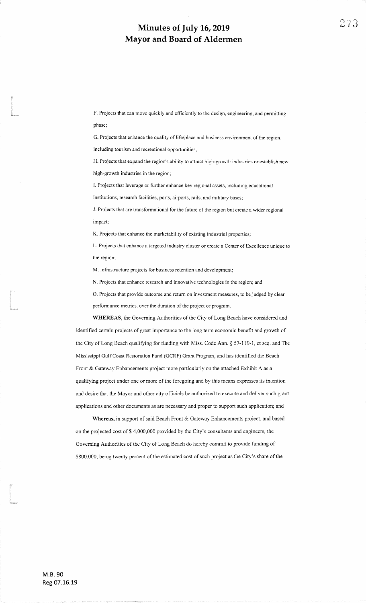F. Projects that can move quickly and efficiently to the design, engineering, and permittingphase;

G. Projects that enhance the quality of life/place and business environment of the region,

including tourism and recreational opportunities;

ta 1999<br>Marejeo<br>Marejeo

t<br>|<br>|

t<br>|-<br>||angles

H. Projects that expand the region's ability to attract high-growth industries or establish newhigh-growth industries in the region;

L Projects that leverage or further enhance key regional assets, including educationalinstitutions, research facilities, ports, airports, rails, and military bases;

J. Projects that are transformational for the future of the region but create a wider regional impact;

K. Projects that enhance the marketability of existing industrial properties;

L. Projects that enhance a targeted industry cluster or create a Center of Excellence unique to the region;

M. Infrastructure projects for business retention and development;

N, Projects that enhance research and innovative technologies in the region; and

O. Projects that provide outcome and return on investment measures, to be judged by clear performance metrics, over the duration of the project or program.

WHEREAS, the Goveming Authorities of the City of Long Beach have considered andidentified certain projects of great importance to the long term economic benefit and growth of the City of Long Beach qualifying for fimding with Miss. Code Ann. \$ 57-1 19-1 , et seq. and TheMississippi Gulf Coast Restoration Fund (GCRF) Grant Program, and has identified the BeachFront & Gateway Enhancements project more particularly on the attached Exhibit A as aqualifying project under one or more of the foregoing and by this means expresses its intention and desire that the Mayor and other city officials be authorized to execute and deliver such grant applications and other documents as are necessary and proper to support such application; and

Whereas, in support of said Beach Front & Gateway Enhancements project, and based on the projected cost of \$4,000,000 provided by the City's consultants and engineers, the Governing Authorities of the City of Long Beach do hereby commit to provide funding of\$800,000, being twenty percent of the estimated cost of such project as the City's share of the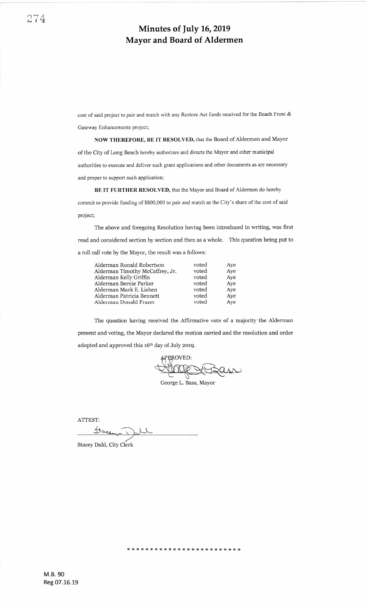cost of said project to pair and match with any Restore Act funds received for the Beach Front & Gateway Enhancements project;

NOW THEREFORE, BE IT RESOLVED, that the Board of Aldermen and Mayor of the City of Long Beach hereby authorizes and directs the Mayor and other municipal authorities to execute and deliver such grant applications and other documents as are necessary and proper to support such application;

BE IT FURTHER RESOLVED, that the Mayor and Board of Aldermen do hereby

commit to provide funding of \$800,000 to pair and match as the City's share of the cost of said project;

The above and foregoing Resolution having been introduced in writing, was first read and considered section by section and then as a whole. This question being put to a roll call vote by the Mayor, the result was a follows:

| Alderman Ronald Robertson<br>voted | Ave                                                |
|------------------------------------|----------------------------------------------------|
| Alderman Timothy McCaffrey, Jr.    | Aye                                                |
|                                    | Ave                                                |
| Alderman Bernie Parker             | Aye                                                |
| Alderman Mark E. Lishen            | Ave                                                |
| Alderman Patricia Bennett          | Ave                                                |
| Alderman Donald Frazer             | Ave                                                |
|                                    | voted<br>voted<br>voted<br>voted<br>voted<br>voted |

The question having received the Affirmative vote of a majority the Alderman present and voting, the Mayor declared the motion carried and the resolution and order adopted and approved this 16<sup>th</sup> day of July 2019.

APPROVED:

George L. Bass, Mayor

rF rT rF \* \* \* \* :9 rt rF \* \* \* \* \* \* rt rF rF rF \* \* \* \* rF

ATTEST: thace Dell

Stacey Dahl, City Clerk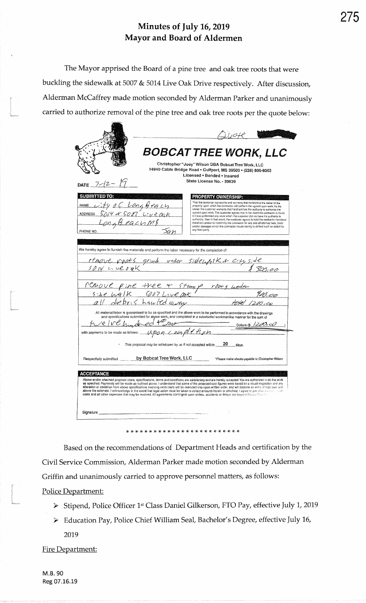The Mayor apprised the Board of a pine tree and oak tree roots that were buckling the sidewalk at 5007 & 5014 Live Oak Drive respectively. After discussion, Alderman McCaffrey made motion seconded by Alderman Parker and unanimously carried to authorize removal of the pine tree and oak tree roots per the quote below:

|                                                                               | <b>BOBCAT TREE WORK, LLC</b><br>Christopher "Joey" Wilson DBA Bobcat Tree Work, LLC                                                                                                                                                                                                                                                                                                                                                                                                                                                                                                                                                                                                                                                                                                  |
|-------------------------------------------------------------------------------|--------------------------------------------------------------------------------------------------------------------------------------------------------------------------------------------------------------------------------------------------------------------------------------------------------------------------------------------------------------------------------------------------------------------------------------------------------------------------------------------------------------------------------------------------------------------------------------------------------------------------------------------------------------------------------------------------------------------------------------------------------------------------------------|
| DATE $7/2$                                                                    | 14940 Cable Bridge Road . Gulfport, MS 39503 . (228) 806-8063<br>Licensed · Bonded · Insured<br>State License No. - 39639                                                                                                                                                                                                                                                                                                                                                                                                                                                                                                                                                                                                                                                            |
| <b>SUBMITTED TO:</b><br>NAME Lity of Long Beg cy<br>Long Beachme<br>PHONE NO. | <b>PROPERTY OWNERSHIP:</b><br>That the customer represents and warrants that he/sho/it is the owner of the<br>property upon which the contractor will perform the agreed upon work. As the<br>owner the customer warrants that he/she/it has the authority to authorize the<br>agreed upon work. The customer agrees that in the event the contractor is found<br>to have performed any work which the customer did not have the authority to<br>authorize, then in that event, the customer agrees to hold the contractor harmless<br>therefrom and/or to indemnify the contractor for any and all attorney lees, costs<br>and/or damages which the contractor incurs having to defend such an action by<br>any third party.                                                        |
|                                                                               | We hereby agree to furnish the materials and perform the labor necessary for the completion of:                                                                                                                                                                                                                                                                                                                                                                                                                                                                                                                                                                                                                                                                                      |
|                                                                               | remove roots grind under sidewfilk & city side<br>$50.14$ c. ue $0.80$ K<br>505,0 <u>0</u>                                                                                                                                                                                                                                                                                                                                                                                                                                                                                                                                                                                                                                                                                           |
|                                                                               |                                                                                                                                                                                                                                                                                                                                                                                                                                                                                                                                                                                                                                                                                                                                                                                      |
|                                                                               | PCMove pine tree + stump roots under<br>size walk soon Live ark<br>all debris hawled away                                                                                                                                                                                                                                                                                                                                                                                                                                                                                                                                                                                                                                                                                            |
|                                                                               | All material/labor is guaranteed to be as specified and the above work to be performed in accordance with the drawings<br>and specifications submitted for above work, and completed in a substantial workmanlike manner for the sum of                                                                                                                                                                                                                                                                                                                                                                                                                                                                                                                                              |
|                                                                               | re We hundred the separation<br>$\frac{\text{Dollars (s } / 200 \text{ c}0)}{\text{Dollars}}$<br>with payments to be made as follows: <u>MPOM C. ally pleter in the signal</u>                                                                                                                                                                                                                                                                                                                                                                                                                                                                                                                                                                                                       |
|                                                                               | This proposal may be withdrawn by us if not accepted within $20$ days.                                                                                                                                                                                                                                                                                                                                                                                                                                                                                                                                                                                                                                                                                                               |
|                                                                               | Respectfully submitted by Bobcat Tree Work, LLC Tiesse make checks payable to Christopher Wilson                                                                                                                                                                                                                                                                                                                                                                                                                                                                                                                                                                                                                                                                                     |
| <b>ACCEPTANCE</b>                                                             | Above and/or attached proposal costs, specifications, terms and conditions are satisfactory and are hereby accepted. You are authorized to do the work<br>as specified. Payments will be made as outlined above. I understand that some of the proposed cost figures were based on a visual inspection and any<br>alteration or deviation from above specifications involving extra costs will be executed only upon written order, and will become an extra charge over and<br>above the estimate. I acknowledge in the event that legal action must be taken to collect amounts herein or attached, I agree to pay above a fack count<br>costs and all other expenses that may be involved. All agreements contingent upon strikes, accidents or delays are boyond Bebau Transman. |
|                                                                               | Signature experience and the state of the state of the state of the state of the state of the state of the state of the state of the state of the state of the state of the state of the state of the state of the state of th<br>û                                                                                                                                                                                                                                                                                                                                                                                                                                                                                                                                                  |

Based on the recommendations of Department Heads and certification by the Civil Service Commission, Alderman Parker made motion seconded by Alderman Griffin and unanimously carried to approve personnel matters, as follows:

Police Department:

- > Stipend, Police Officer 1st Class Daniel Gilkerson, FTO Pay, effective July 1, 2019
- > Education Pay, Police Chief William Seal, Bachelor's Degree, effective July 16, 2019

Fire Department: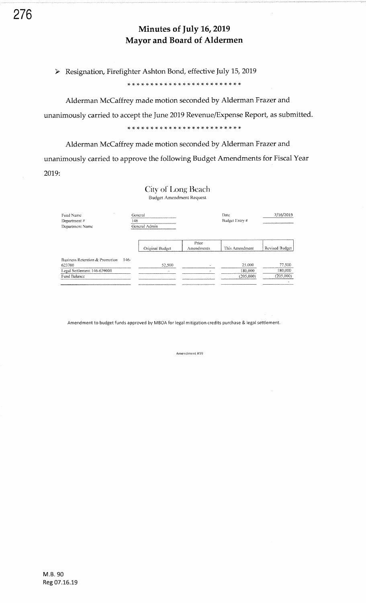> Resignation, Firefighter Ashton Bond, effective July 15, 2019

Alderman McCaffrey made motion seconded by Alderman Frazer and unanimously carried to accept the June 2019 Revenue/Expense Report, as submitted.

Alderman McCaffrey made motion seconded by Alderman Frazer and unanimously carried to approve the following Budget Amendments for Fiscal Year 2019:

City of Long Beach

Budget Amendment Request Fund Name Date 7/16/2019 General Department  $\#$  $\overline{146}$ Budget Entry  $\#$ General Admin Department Name Prior Original Budget Revised Budget This Amendment Amendments Business Retention & Promotion 146-623700 25,000 77.500 52,500 Legal Settlement 146-639000 180,000 180.000  $(205,000)$  $(205,000)$ Fund Balance

Amendment to budget funds approved by MBOA for legal mitigation credits purchase & legal settlement.

Amendment #19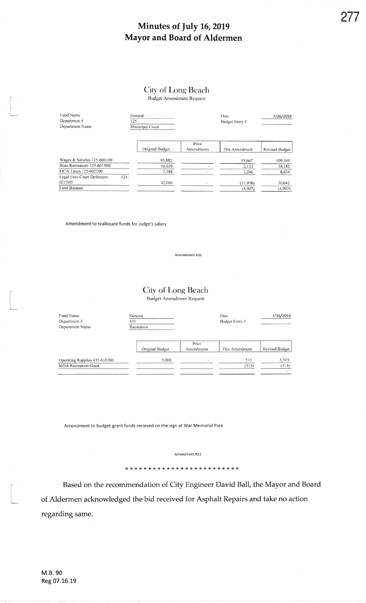## City of Long Beach

**Budget Amendment Request** 

| Fund Name<br>Department#<br>Department Name | 125     | General<br>Municipal Court |                     | Date<br>Budget Entry # | 7/16/2019      |  |  |
|---------------------------------------------|---------|----------------------------|---------------------|------------------------|----------------|--|--|
|                                             |         | Original Budget            | Prior<br>Amendments | This Amendment         | Revised Budget |  |  |
| Wages & Salaries 125-600100                 |         | 95,882                     |                     | 13,667                 | 109.549        |  |  |
| State Retirement 125-601900                 |         | 16.030                     |                     | 2,152                  | 18,182         |  |  |
| FICA Taxes 125-602200                       |         | 7.588                      |                     | 1,046                  | 8,634          |  |  |
| Legal Fees-Court Defenders<br>621500        | $125 -$ | 42.000                     | $\hat{\phantom{a}}$ | (11,958)               | 30,042         |  |  |
| Fund Balance                                |         |                            |                     | (4,907)                | (4,907)        |  |  |

Amendment to reallocate funds for Judge's salary

Amendment #20

#### City of Long Beach **Budget Amendment Request**

Fund Name Date 7/16/2019 General Department  $\theta$  $\frac{435}{ }$ Budget Entry # Recreation Department Name Prior Original Budget Revised Budget Amendments This Amendment Operating Supplies 435-610700<br>MDA Recreation Grant 515 5,515 5,000  $(515)$  $(515)$ 

Amendment to budget grant funds recieved on the sign at War Memorial Park

Amendment #21

Based on the recommendation of City Engineer David Ball, the Mayor and Board of Aldermen acknowledged the bid received for Asphalt Repairs and take no action regarding same.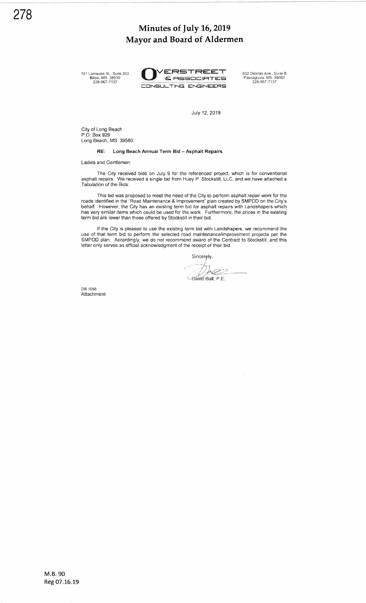161 Lameuse St., Suite 203<br>Bíłoxi, MS\_39530<br>228-967-7137

ARRETREET 630 Delmas Ave., Suite B<br> **ERESOCIATES** Pascagoula, MS 39567<br>
ECINSULTING ENGINEERS

July 12, 2019

City of Long Beach P.O. Box 929 Long Beach, MS 39560

#### RE: Long Beach Annual Term Bid - Asphalt Repairs

Ladies and Gentlemen:

The City received bids on July 9 for the referenced project, which is for conventional asphalt repairs. We received a single bid from Huey P. Stockstill, LLC, and we have attached a Tabulation of the Bids.

This bid was proposed to meet the need of the City to perform asphalt repair work for the roads identified in the "Road Maintenance & Improvement" plan created by SMPDD on the City's behalf. However, the City has an existing term bid for asphalt repairs with Landshapers which has very similar items which could be used for the work. Furthermore, the prices in the existing term bid are lower lhan those offered by Stockstill in their bid.

If the City is pleased to use the existing term bid with Landshapers, we recommend the use of that tenn bid to perform the selected road maintenancefimprovement projects per the SMPDD plan. Accordingly, we do not recommend award of the Contract to Stockstill, and this letter only serves as official acknowledgment of the receipt of their bid.

Sincerely.

 $b@2$ **Bavid Ball**, P.E.

DB:1056 **Attachment**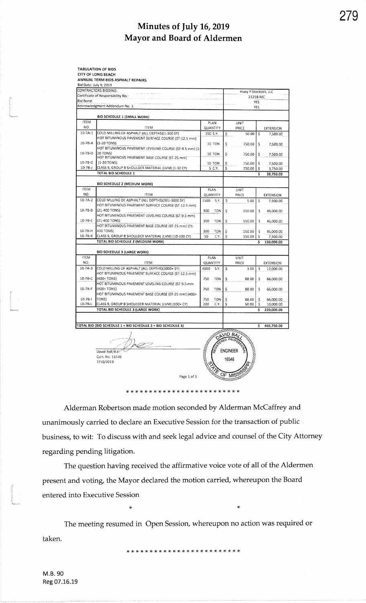|                                    | ANNUAL TERM BIDS ASPHALT REPAIRS                                                                         |      |                 |                          |                                    |         |                       |  |  |
|------------------------------------|----------------------------------------------------------------------------------------------------------|------|-----------------|--------------------------|------------------------------------|---------|-----------------------|--|--|
|                                    | Bid Date: July 9, 2019<br>CONTRACTORS BIDDING:                                                           |      |                 |                          |                                    |         |                       |  |  |
| Certificate of Responsibility No.: |                                                                                                          |      |                 |                          | Huey P Stockstill, LLC<br>21258-MC |         |                       |  |  |
| Bid Bond:                          |                                                                                                          |      |                 |                          |                                    | YES     |                       |  |  |
|                                    | Acknowledgment Addendum No. 1:                                                                           |      |                 |                          |                                    | YES     |                       |  |  |
|                                    | <b>BID SCHEDULE 1 (SMALL WORK)</b>                                                                       |      |                 |                          |                                    |         |                       |  |  |
| <b>ITEM</b>                        |                                                                                                          |      | PLAN            |                          | UNIT                               |         |                       |  |  |
| NO.<br>$10-7A-1$                   | <b>ITEM</b>                                                                                              |      | QUANTITY        |                          | PRICE                              |         | <b>EXTENSION</b>      |  |  |
|                                    | COLD MILLING OF ASPHALT (ALL DEPTHS)(1-300 SY)<br>HOT BITUMINOUS PAVEMENT SURFACE COURSE (ST-12.5 mm)    |      | 150 S.Y.        | \$                       | 50.00                              | -\$     | 7,500.00              |  |  |
| $10-7B-A$                          | $(1-20$ TONS)                                                                                            |      | <b>10 TON</b>   | \$                       | 750.00                             | \$      | 7,500.00              |  |  |
|                                    | HOT BITUMINOUS PAVEMENT LEVELING COURSE (ST-9.5 mm) (1-                                                  |      |                 |                          |                                    |         |                       |  |  |
| 10-78-D                            | 20 TONS)<br>HOT BITUMINOUS PAVEMENT BASE COURSE (ST-25 mm)                                               |      | 10 TON          | \$                       | 750.00                             | \$      | 7,500.00              |  |  |
| 10-7B-G                            | (1-20 TONS)                                                                                              |      | 10 TON          | \$                       | 750.00                             | \$      | 7,500.00              |  |  |
| $10 - 7B - J$                      | CLASS 9, GROUP B SHOULDER MATERIAL (LVM) (1-10 CY)                                                       |      | 5 C.Y.          | \$                       | 750.00                             | \$      | 3,750.00              |  |  |
|                                    | TOTAL BID SCHEDULE 1                                                                                     |      |                 |                          |                                    | s       | 33,750.00             |  |  |
|                                    | <b>BID SCHEDULE 2 (MEDIUM WORK)</b>                                                                      |      |                 |                          |                                    |         |                       |  |  |
| <b>ITEM</b>                        |                                                                                                          |      | PLAN            |                          | UNIT                               |         |                       |  |  |
| NO.                                | <b>ITEM</b>                                                                                              |      | <b>OUANTITY</b> |                          | PRICE                              |         | EXTENSION             |  |  |
| 10-7A-2                            | COLD MILLING OF ASPHALT (ALL DEPTHS)(301-3000 SY)<br>HOT BITUMINOUS PAVEMENT SURFACE COURSE (ST-12.5 mm) | 1500 | S.Y.            | \$                       | 5.00                               | -\$     | 7,500.00              |  |  |
| 10-7B-B                            | $(21 - 400$ TONS)                                                                                        | 300  | TON             | \$.                      | 150.00                             | \$      | 45,000.00             |  |  |
|                                    | HOT BITUMINOUS PAVEMENT LEVELING COURSE (ST-9.5 mm)                                                      |      |                 |                          |                                    |         |                       |  |  |
| 10-78-E                            | (21-400 TONS)                                                                                            | 300  | <b>TON</b>      | \$                       | 150.00                             | \$      | 45,000.00             |  |  |
| 10-78-H                            | HOT BITUMINOUS PAVEMENT BASE COURSE (ST-25 mm) (21-<br>400 TONS)                                         | 300  | TON             | \$                       |                                    |         |                       |  |  |
| 10-78-K                            | CLASS 9, GROUP B SHOULDER MATERIAL (LVM) (10-100 CY)                                                     | 50   | C.Y.            | \$                       | 150.00<br>150.00                   | Ŝ<br>\$ | 45,000.00<br>7,500.00 |  |  |
|                                    | TOTAL BID SCHEDULE 2 (MEDIUM WORK)                                                                       |      |                 |                          |                                    | Ś       | 150,000.00            |  |  |
|                                    |                                                                                                          |      |                 |                          |                                    |         |                       |  |  |
| <b>ITEM</b>                        | <b>BID SCHEDULE 3 (LARGE WORK)</b>                                                                       |      | PLAN            |                          | UNIT                               |         |                       |  |  |
| NO.                                | <b>ITEM</b>                                                                                              |      | QUANTITY        |                          | PRICE                              |         | EXTENSION             |  |  |
| $10-7A-3$                          | COLD MILLING OF ASPHALT (ALL DEPTHS)(3000+ SY)                                                           | 4000 | S.Y.            | \$                       | 3.00                               | -\$     | 12,000.00             |  |  |
|                                    | HOT BITUMINOUS PAVEMENT SURFACE COURSE (ST-12.5 mm)                                                      |      |                 |                          |                                    |         |                       |  |  |
| 10-78-C                            | (400+ TONS)                                                                                              | 750  | TON             | \$                       | 88.00                              | s       | 66,000.00             |  |  |
| 10-7B-F                            | HOT BITUMINOUS PAVEMENT LEVELING COURSE (ST-9.5 mm<br>$(400+TONS)$                                       | 750  | TON             | \$                       | 88.00                              | \$      | 66,000.00             |  |  |
|                                    | HOT BITUMINOUS PAVEMENT BASE COURSE (ST-25 mm) (400+                                                     |      |                 |                          |                                    |         |                       |  |  |
| $10-7B-1$                          | TONS)                                                                                                    | 750  | TON             | \$                       | 88.00                              | \$      | 66,000.00             |  |  |
| 10-7B-L                            | CLASS 9, GROUP B SHOULDER MATERIAL (LVM) (100+ CY)                                                       | 200  | C.Y.            | \$                       | 50.00                              | \$      | 10,000.00             |  |  |
|                                    | TOTAL BID SCHEDULE 3 (LARGE WORK)                                                                        |      |                 |                          |                                    | \$      | 220,000.00            |  |  |
|                                    |                                                                                                          |      |                 |                          |                                    |         |                       |  |  |
|                                    | TOTAL BID (BID SCHEDULE 1 + BID SCHEDULE 2 + BID SCHEDULE 3)                                             |      |                 |                          |                                    | \$      | 403,750.00            |  |  |
|                                    | David Ball, P.E.<br>Cert. No. 16546<br>7/10/2019                                                         |      |                 | <b>ENGINEER</b><br>16546 |                                    |         |                       |  |  |

Alderman Robertson made motion seconded by Alderman McCaffrey and unanimously carried to declare an Executive Session for the transaction of public business, to wit: To discuss with and seek legal advice and counsel of the City Attorney regarding pending litigation.

The question having received the affirmative voice vote of all of the Aldermen present and voting, the Mayor declared the motion carried, whereupon the Board entered into Executive Session

The meeting resumed in Open Session, whereupon no action was required or taken.

 $\ast$ 

M.B. 90 Reg 07.16.19